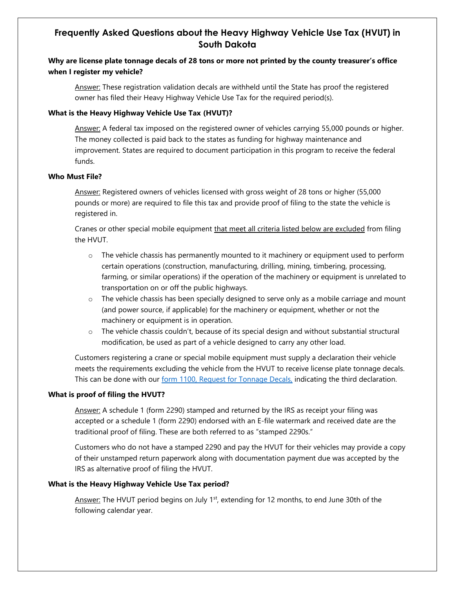# **Frequently Asked Questions about the Heavy Highway Vehicle Use Tax (HVUT) in South Dakota**

# **Why are license plate tonnage decals of 28 tons or more not printed by the county treasurer's office when I register my vehicle?**

Answer: These registration validation decals are withheld until the State has proof the registered owner has filed their Heavy Highway Vehicle Use Tax for the required period(s).

## **What is the Heavy Highway Vehicle Use Tax (HVUT)?**

Answer: A federal tax imposed on the registered owner of vehicles carrying 55,000 pounds or higher. The money collected is paid back to the states as funding for highway maintenance and improvement. States are required to document participation in this program to receive the federal funds.

## **Who Must File?**

Answer: Registered owners of vehicles licensed with gross weight of 28 tons or higher (55,000 pounds or more) are required to file this tax and provide proof of filing to the state the vehicle is registered in.

Cranes or other special mobile equipment that meet all criteria listed below are excluded from filing the HVUT.

- $\circ$  The vehicle chassis has permanently mounted to it machinery or equipment used to perform certain operations (construction, manufacturing, drilling, mining, timbering, processing, farming, or similar operations) if the operation of the machinery or equipment is unrelated to transportation on or off the public highways.
- $\circ$  The vehicle chassis has been specially designed to serve only as a mobile carriage and mount (and power source, if applicable) for the machinery or equipment, whether or not the machinery or equipment is in operation.
- $\circ$  The vehicle chassis couldn't, because of its special design and without substantial structural modification, be used as part of a vehicle designed to carry any other load.

Customers registering a crane or special mobile equipment must supply a declaration their vehicle meets the requirements excluding the vehicle from the HVUT to receive license plate tonnage decals. This can be done with our form 1100, [Request for Tonnage](https://sddor.seamlessdocs.com/f/1100) Decals, indicating the third declaration.

#### **What is proof of filing the HVUT?**

Answer: A schedule 1 (form 2290) stamped and returned by the IRS as receipt your filing was accepted or a schedule 1 (form 2290) endorsed with an E-file watermark and received date are the traditional proof of filing. These are both referred to as "stamped 2290s."

Customers who do not have a stamped 2290 and pay the HVUT for their vehicles may provide a copy of their unstamped return paperwork along with documentation payment due was accepted by the IRS as alternative proof of filing the HVUT.

# **What is the Heavy Highway Vehicle Use Tax period?**

Answer: The HVUT period begins on July 1<sup>st</sup>, extending for 12 months, to end June 30th of the following calendar year.